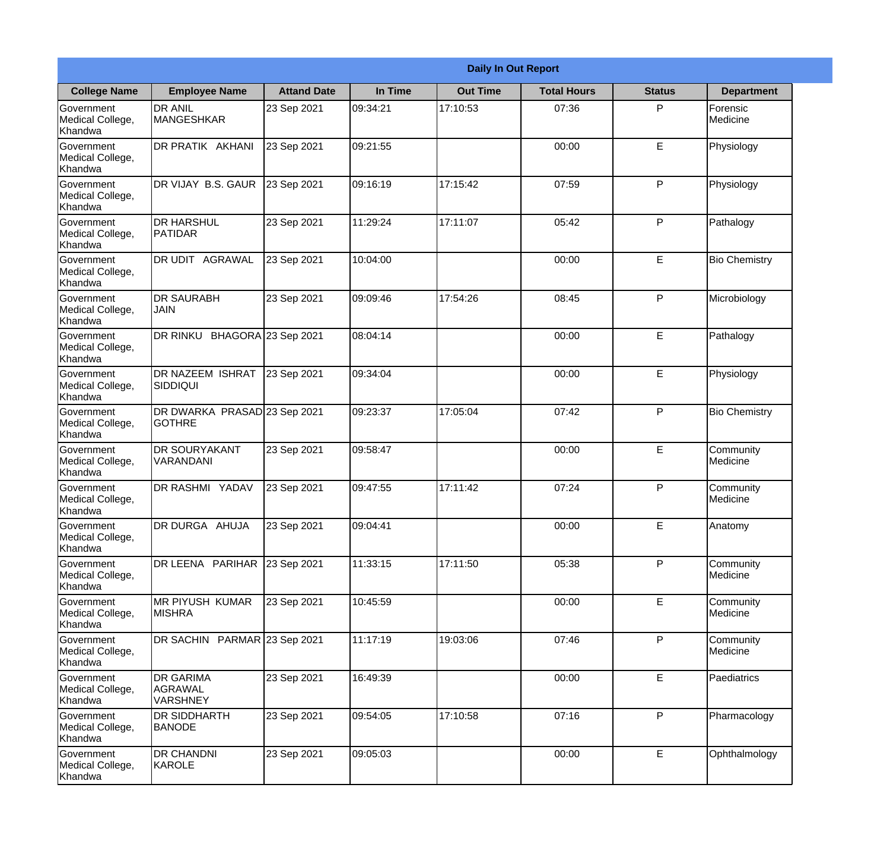|                                                  | <b>Daily In Out Report</b>                     |                    |          |                 |                    |               |                       |  |  |
|--------------------------------------------------|------------------------------------------------|--------------------|----------|-----------------|--------------------|---------------|-----------------------|--|--|
| <b>College Name</b>                              | <b>Employee Name</b>                           | <b>Attand Date</b> | In Time  | <b>Out Time</b> | <b>Total Hours</b> | <b>Status</b> | <b>Department</b>     |  |  |
| Government<br>Medical College,<br>Khandwa        | <b>DR ANIL</b><br><b>MANGESHKAR</b>            | 23 Sep 2021        | 09:34:21 | 17:10:53        | 07:36              | P             | Forensic<br>Medicine  |  |  |
| Government<br>Medical College,<br>Khandwa        | DR PRATIK AKHANI                               | 23 Sep 2021        | 09:21:55 |                 | 00:00              | E             | Physiology            |  |  |
| Government<br>Medical College,<br>Khandwa        | DR VIJAY B.S. GAUR                             | 23 Sep 2021        | 09:16:19 | 17:15:42        | 07:59              | P             | Physiology            |  |  |
| Government<br>Medical College,<br>Khandwa        | <b>DR HARSHUL</b><br>PATIDAR                   | 23 Sep 2021        | 11:29:24 | 17:11:07        | 05:42              | P             | Pathalogy             |  |  |
| <b>Government</b><br>Medical College,<br>Khandwa | DR UDIT AGRAWAL                                | 23 Sep 2021        | 10:04:00 |                 | 00:00              | E             | <b>Bio Chemistry</b>  |  |  |
| Government<br>Medical College,<br>Khandwa        | <b>DR SAURABH</b><br><b>JAIN</b>               | 23 Sep 2021        | 09:09:46 | 17:54:26        | 08:45              | P             | Microbiology          |  |  |
| Government<br>Medical College,<br>Khandwa        | DR RINKU BHAGORA 23 Sep 2021                   |                    | 08:04:14 |                 | 00:00              | E             | Pathalogy             |  |  |
| Government<br>Medical College,<br>Khandwa        | <b>DR NAZEEM ISHRAT</b><br><b>SIDDIQUI</b>     | 23 Sep 2021        | 09:34:04 |                 | 00:00              | E             | Physiology            |  |  |
| Government<br>Medical College,<br>Khandwa        | DR DWARKA PRASAD 23 Sep 2021<br><b>GOTHRE</b>  |                    | 09:23:37 | 17:05:04        | 07:42              | P             | <b>Bio Chemistry</b>  |  |  |
| Government<br>Medical College,<br>Khandwa        | DR SOURYAKANT<br>VARANDANI                     | 23 Sep 2021        | 09:58:47 |                 | 00:00              | E             | Community<br>Medicine |  |  |
| Government<br>Medical College,<br>Khandwa        | DR RASHMI YADAV                                | 23 Sep 2021        | 09:47:55 | 17:11:42        | 07:24              | P             | Community<br>Medicine |  |  |
| Government<br>Medical College,<br>Khandwa        | DR DURGA AHUJA                                 | 23 Sep 2021        | 09:04:41 |                 | 00:00              | E             | Anatomy               |  |  |
| Government<br>Medical College,<br>Khandwa        | DR LEENA PARIHAR                               | 23 Sep 2021        | 11:33:15 | 17:11:50        | 05:38              | P             | Community<br>Medicine |  |  |
| Government<br>Medical College,<br>Khandwa        | MR PIYUSH KUMAR<br><b>MISHRA</b>               | 23 Sep 2021        | 10:45:59 |                 | 00:00              | E             | Community<br>Medicine |  |  |
| Government<br>Medical College,<br>Khandwa        | DR SACHIN PARMAR 23 Sep 2021                   |                    | 11:17:19 | 19:03:06        | 07:46              | P             | Community<br>Medicine |  |  |
| Government<br>Medical College,<br>Khandwa        | <b>DR GARIMA</b><br>AGRAWAL<br><b>VARSHNEY</b> | 23 Sep 2021        | 16:49:39 |                 | 00:00              | E             | Paediatrics           |  |  |
| Government<br>Medical College,<br>Khandwa        | DR SIDDHARTH<br><b>BANODE</b>                  | 23 Sep 2021        | 09:54:05 | 17:10:58        | 07:16              | P             | Pharmacology          |  |  |
| Government<br>Medical College,<br>Khandwa        | DR CHANDNI<br>KAROLE                           | 23 Sep 2021        | 09:05:03 |                 | 00:00              | E             | Ophthalmology         |  |  |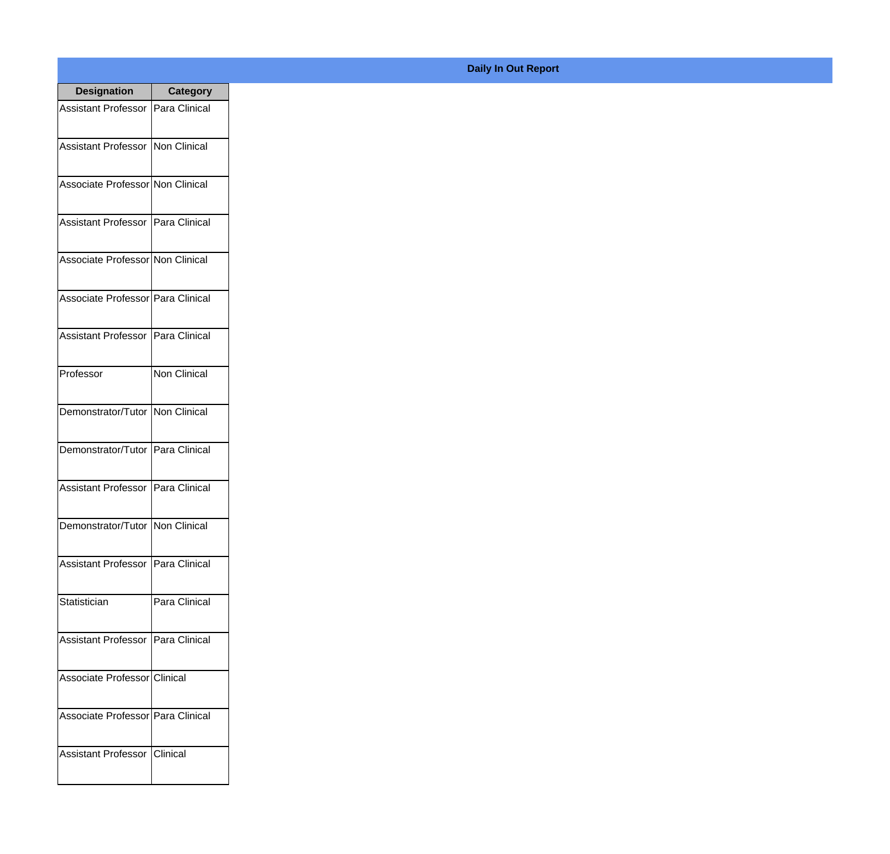| <b>Designation</b>                  | <b>Category</b>     |
|-------------------------------------|---------------------|
| Assistant Professor   Para Clinical |                     |
| Assistant Professor   Non Clinical  |                     |
| Associate Professor Non Clinical    |                     |
| <b>Assistant Professor</b>          | Para Clinical       |
| Associate Professor Non Clinical    |                     |
| Associate Professor Para Clinical   |                     |
| Assistant Professor   Para Clinical |                     |
| Professor                           | <b>Non Clinical</b> |
| Demonstrator/Tutor   Non Clinical   |                     |
| Demonstrator/Tutor                  | Para Clinical       |
| <b>Assistant Professor</b>          | Para Clinical       |
| Demonstrator/Tutor   Non Clinical   |                     |
| Assistant Professor   Para Clinical |                     |
| Statistician                        | Para Clinical       |
| Assistant Professor   Para Clinical |                     |
| Associate Professor Clinical        |                     |
| Associate Professor   Para Clinical |                     |
| Assistant Professor   Clinical      |                     |

## **Daily In Out Report**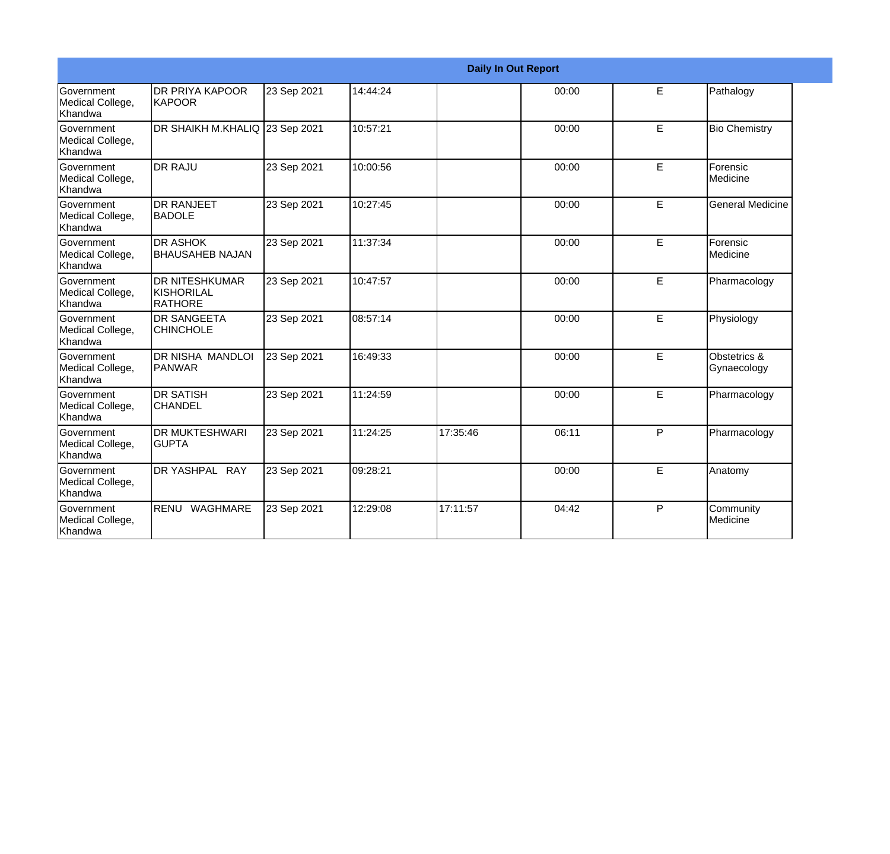|                                                         |                                                |             |          |          | <b>Daily In Out Report</b> |   |                             |
|---------------------------------------------------------|------------------------------------------------|-------------|----------|----------|----------------------------|---|-----------------------------|
| Government<br>Medical College,<br>Khandwa               | <b>DR PRIYA KAPOOR</b><br>KAPOOR               | 23 Sep 2021 | 14:44:24 |          | 00:00                      | E | Pathalogy                   |
| <b>Government</b><br>Medical College,<br>Khandwa        | DR SHAIKH M.KHALIQ 23 Sep 2021                 |             | 10:57:21 |          | 00:00                      | E | <b>Bio Chemistry</b>        |
| <b>Government</b><br>Medical College,<br>Khandwa        | <b>IDR RAJU</b>                                | 23 Sep 2021 | 10:00:56 |          | 00:00                      | E | Forensic<br>Medicine        |
| <b>Government</b><br>Medical College,<br><b>Khandwa</b> | <b>DR RANJEET</b><br><b>BADOLE</b>             | 23 Sep 2021 | 10:27:45 |          | 00:00                      | E | <b>General Medicine</b>     |
| Government<br>Medical College,<br><b>Khandwa</b>        | <b>DR ASHOK</b><br><b>BHAUSAHEB NAJAN</b>      | 23 Sep 2021 | 11:37:34 |          | 00:00                      | E | Forensic<br>Medicine        |
| Government<br>Medical College,<br>Khandwa               | <b>DR NITESHKUMAR</b><br>KISHORILAL<br>RATHORE | 23 Sep 2021 | 10:47:57 |          | 00:00                      | E | Pharmacology                |
| <b>Government</b><br>Medical College,<br><b>Khandwa</b> | <b>DR SANGEETA</b><br><b>CHINCHOLE</b>         | 23 Sep 2021 | 08:57:14 |          | 00:00                      | E | Physiology                  |
| <b>Government</b><br>Medical College,<br><b>Khandwa</b> | IDR NISHA MANDLOI<br><b>PANWAR</b>             | 23 Sep 2021 | 16:49:33 |          | 00:00                      | E | Obstetrics &<br>Gynaecology |
| <b>Government</b><br>Medical College,<br>Khandwa        | <b>DR SATISH</b><br><b>CHANDEL</b>             | 23 Sep 2021 | 11:24:59 |          | 00:00                      | E | Pharmacology                |
| Government<br>Medical College,<br>Khandwa               | <b>DR MUKTESHWARI</b><br><b>GUPTA</b>          | 23 Sep 2021 | 11:24:25 | 17:35:46 | 06:11                      | P | Pharmacology                |
| Government<br>Medical College,<br><b>Khandwa</b>        | DR YASHPAL RAY                                 | 23 Sep 2021 | 09:28:21 |          | 00:00                      | E | Anatomy                     |
| <b>Government</b><br>Medical College,<br>Khandwa        | RENU WAGHMARE                                  | 23 Sep 2021 | 12:29:08 | 17:11:57 | 04:42                      | P | Community<br>Medicine       |